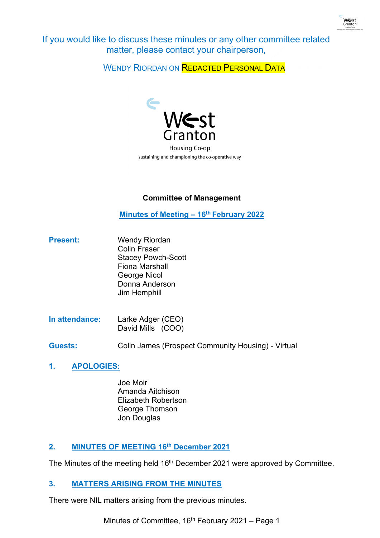

If you would like to discuss these minutes or any other committee related matter, please contact your chairperson,

WENDY RIORDAN ON REDACTED PERSONAL DATA



# **Committee of Management**

**Minutes of Meeting – 16th February 2022**

- **Present:** Wendy Riordan Colin Fraser Stacey Powch-Scott Fiona Marshall George Nicol Donna Anderson Jim Hemphill
- **In attendance:** Larke Adger (CEO) David Mills (COO)
- **Guests:** Colin James (Prospect Community Housing) Virtual
- **1. APOLOGIES:**
	- Joe Moir Amanda Aitchison Elizabeth Robertson George Thomson Jon Douglas

# **2. MINUTES OF MEETING 16th December 2021**

The Minutes of the meeting held 16<sup>th</sup> December 2021 were approved by Committee.

# **3. MATTERS ARISING FROM THE MINUTES**

There were NIL matters arising from the previous minutes.

Minutes of Committee,  $16<sup>th</sup>$  February 2021 – Page 1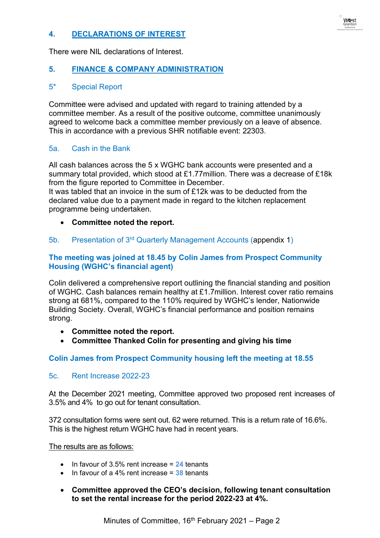# **4. DECLARATIONS OF INTEREST**

There were NIL declarations of Interest.

## **5. FINANCE & COMPANY ADMINISTRATION**

### 5\* Special Report

Committee were advised and updated with regard to training attended by a committee member. As a result of the positive outcome, committee unanimously agreed to welcome back a committee member previously on a leave of absence. This in accordance with a previous SHR notifiable event: 22303.

#### 5a. Cash in the Bank

All cash balances across the 5 x WGHC bank accounts were presented and a summary total provided, which stood at £1.77million. There was a decrease of £18k from the figure reported to Committee in December.

It was tabled that an invoice in the sum of £12k was to be deducted from the declared value due to a payment made in regard to the kitchen replacement programme being undertaken.

- **Committee noted the report.**
- 5b. Presentation of 3rd Quarterly Management Accounts (appendix 1)

## **The meeting was joined at 18.45 by Colin James from Prospect Community Housing (WGHC's financial agent)**

Colin delivered a comprehensive report outlining the financial standing and position of WGHC. Cash balances remain healthy at £1.7million. Interest cover ratio remains strong at 681%, compared to the 110% required by WGHC's lender, Nationwide Building Society. Overall, WGHC's financial performance and position remains strong.

- **Committee noted the report.**
- **Committee Thanked Colin for presenting and giving his time**

### **Colin James from Prospect Community housing left the meeting at 18.55**

### 5c. Rent Increase 2022-23

At the December 2021 meeting, Committee approved two proposed rent increases of 3.5% and 4% to go out for tenant consultation.

372 consultation forms were sent out. 62 were returned. This is a return rate of 16.6%. This is the highest return WGHC have had in recent years.

The results are as follows:

- In favour of 3.5% rent increase = **24** tenants
- In favour of a 4% rent increase = **38** tenants
- **Committee approved the CEO's decision, following tenant consultation to set the rental increase for the period 2022-23 at 4%.**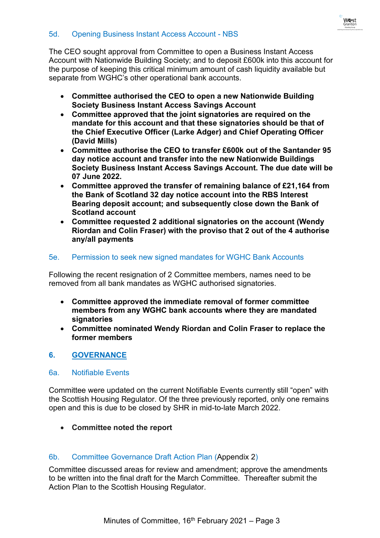### 5d. Opening Business Instant Access Account - NBS

The CEO sought approval from Committee to open a Business Instant Access Account with Nationwide Building Society; and to deposit £600k into this account for the purpose of keeping this critical minimum amount of cash liquidity available but separate from WGHC's other operational bank accounts.

- **Committee authorised the CEO to open a new Nationwide Building Society Business Instant Access Savings Account**
- **Committee approved that the joint signatories are required on the mandate for this account and that these signatories should be that of the Chief Executive Officer (Larke Adger) and Chief Operating Officer (David Mills)**
- **Committee authorise the CEO to transfer £600k out of the Santander 95 day notice account and transfer into the new Nationwide Buildings Society Business Instant Access Savings Account. The due date will be 07 June 2022.**
- **Committee approved the transfer of remaining balance of £21,164 from the Bank of Scotland 32 day notice account into the RBS Interest Bearing deposit account; and subsequently close down the Bank of Scotland account**
- **Committee requested 2 additional signatories on the account (Wendy Riordan and Colin Fraser) with the proviso that 2 out of the 4 authorise any/all payments**

## 5e. Permission to seek new signed mandates for WGHC Bank Accounts

Following the recent resignation of 2 Committee members, names need to be removed from all bank mandates as WGHC authorised signatories.

- **Committee approved the immediate removal of former committee members from any WGHC bank accounts where they are mandated signatories**
- **Committee nominated Wendy Riordan and Colin Fraser to replace the former members**

# **6. GOVERNANCE**

### 6a. Notifiable Events

Committee were updated on the current Notifiable Events currently still "open" with the Scottish Housing Regulator. Of the three previously reported, only one remains open and this is due to be closed by SHR in mid-to-late March 2022.

• **Committee noted the report**

# 6b. Committee Governance Draft Action Plan (Appendix 2)

Committee discussed areas for review and amendment; approve the amendments to be written into the final draft for the March Committee. Thereafter submit the Action Plan to the Scottish Housing Regulator.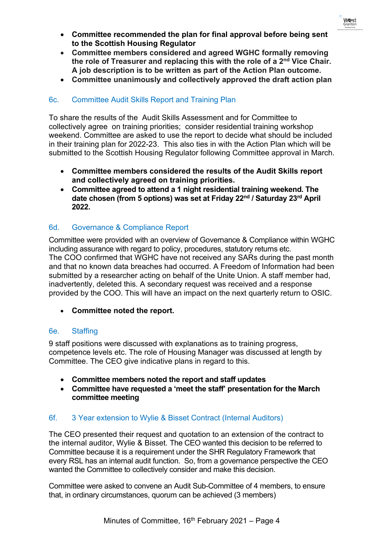

- **Committee recommended the plan for final approval before being sent to the Scottish Housing Regulator**
- **Committee members considered and agreed WGHC formally removing the role of Treasurer and replacing this with the role of a 2nd Vice Chair. A job description is to be written as part of the Action Plan outcome.**
- **Committee unanimously and collectively approved the draft action plan**

# 6c. Committee Audit Skills Report and Training Plan

To share the results of the Audit Skills Assessment and for Committee to collectively agree on training priorities; consider residential training workshop weekend. Committee are asked to use the report to decide what should be included in their training plan for 2022-23. This also ties in with the Action Plan which will be submitted to the Scottish Housing Regulator following Committee approval in March.

- **Committee members considered the results of the Audit Skills report and collectively agreed on training priorities.**
- **Committee agreed to attend a 1 night residential training weekend. The date chosen (from 5 options) was set at Friday 22nd / Saturday 23rd April 2022.**

## 6d. Governance & Compliance Report

Committee were provided with an overview of Governance & Compliance within WGHC including assurance with regard to policy, procedures, statutory returns etc. The COO confirmed that WGHC have not received any SARs during the past month and that no known data breaches had occurred. A Freedom of Information had been submitted by a researcher acting on behalf of the Unite Union. A staff member had, inadvertently, deleted this. A secondary request was received and a response provided by the COO. This will have an impact on the next quarterly return to OSIC.

• **Committee noted the report.**

### 6e. Staffing

9 staff positions were discussed with explanations as to training progress, competence levels etc. The role of Housing Manager was discussed at length by Committee. The CEO give indicative plans in regard to this.

- **Committee members noted the report and staff updates**
- **Committee have requested a 'meet the staff' presentation for the March committee meeting**

### 6f. 3 Year extension to Wylie & Bisset Contract (Internal Auditors)

The CEO presented their request and quotation to an extension of the contract to the internal auditor, Wylie & Bisset. The CEO wanted this decision to be referred to Committee because it is a requirement under the SHR Regulatory Framework that every RSL has an internal audit function. So, from a governance perspective the CEO wanted the Committee to collectively consider and make this decision.

Committee were asked to convene an Audit Sub-Committee of 4 members, to ensure that, in ordinary circumstances, quorum can be achieved (3 members)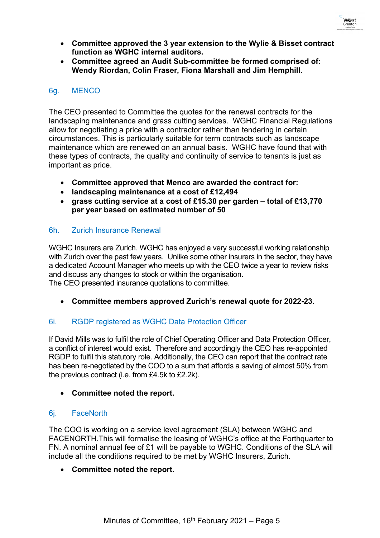

- **Committee approved the 3 year extension to the Wylie & Bisset contract function as WGHC internal auditors.**
- **Committee agreed an Audit Sub-committee be formed comprised of: Wendy Riordan, Colin Fraser, Fiona Marshall and Jim Hemphill.**

### 6g. MENCO

The CEO presented to Committee the quotes for the renewal contracts for the landscaping maintenance and grass cutting services. WGHC Financial Regulations allow for negotiating a price with a contractor rather than tendering in certain circumstances. This is particularly suitable for term contracts such as landscape maintenance which are renewed on an annual basis. WGHC have found that with these types of contracts, the quality and continuity of service to tenants is just as important as price.

- **Committee approved that Menco are awarded the contract for:**
- **landscaping maintenance at a cost of £12,494**
- **grass cutting service at a cost of £15.30 per garden – total of £13,770 per year based on estimated number of 50**

### 6h. Zurich Insurance Renewal

WGHC Insurers are Zurich. WGHC has enjoyed a very successful working relationship with Zurich over the past few years. Unlike some other insurers in the sector, they have a dedicated Account Manager who meets up with the CEO twice a year to review risks and discuss any changes to stock or within the organisation.

The CEO presented insurance quotations to committee.

• **Committee members approved Zurich's renewal quote for 2022-23.**

# 6i. RGDP registered as WGHC Data Protection Officer

If David Mills was to fulfil the role of Chief Operating Officer and Data Protection Officer, a conflict of interest would exist. Therefore and accordingly the CEO has re-appointed RGDP to fulfil this statutory role. Additionally, the CEO can report that the contract rate has been re-negotiated by the COO to a sum that affords a saving of almost 50% from the previous contract (i.e. from £4.5k to £2.2k).

### • **Committee noted the report.**

# 6j. FaceNorth

The COO is working on a service level agreement (SLA) between WGHC and FACENORTH.This will formalise the leasing of WGHC's office at the Forthquarter to FN. A nominal annual fee of £1 will be payable to WGHC. Conditions of the SLA will include all the conditions required to be met by WGHC Insurers, Zurich.

### • **Committee noted the report.**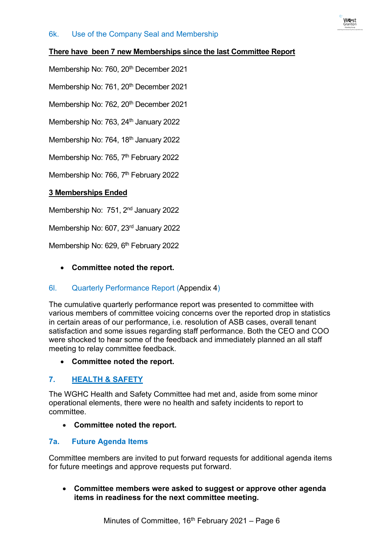## **There have been 7 new Memberships since the last Committee Report**

Membership No: 760, 20<sup>th</sup> December 2021

Membership No: 761, 20<sup>th</sup> December 2021

Membership No: 762, 20<sup>th</sup> December 2021

Membership No: 763, 24<sup>th</sup> January 2022

Membership No: 764, 18<sup>th</sup> January 2022

Membership No: 765, 7<sup>th</sup> February 2022

Membership No: 766, 7<sup>th</sup> February 2022

## **3 Memberships Ended**

Membership No: 751, 2<sup>nd</sup> January 2022

Membership No: 607, 23<sup>rd</sup> January 2022

Membership No: 629, 6<sup>th</sup> February 2022

• **Committee noted the report.**

# 6l. Quarterly Performance Report (Appendix 4)

The cumulative quarterly performance report was presented to committee with various members of committee voicing concerns over the reported drop in statistics in certain areas of our performance, i.e. resolution of ASB cases, overall tenant satisfaction and some issues regarding staff performance. Both the CEO and COO were shocked to hear some of the feedback and immediately planned an all staff meeting to relay committee feedback.

• **Committee noted the report.**

### **7. HEALTH & SAFETY**

The WGHC Health and Safety Committee had met and, aside from some minor operational elements, there were no health and safety incidents to report to committee.

• **Committee noted the report.**

# **7a. Future Agenda Items**

Committee members are invited to put forward requests for additional agenda items for future meetings and approve requests put forward.

• **Committee members were asked to suggest or approve other agenda items in readiness for the next committee meeting.**